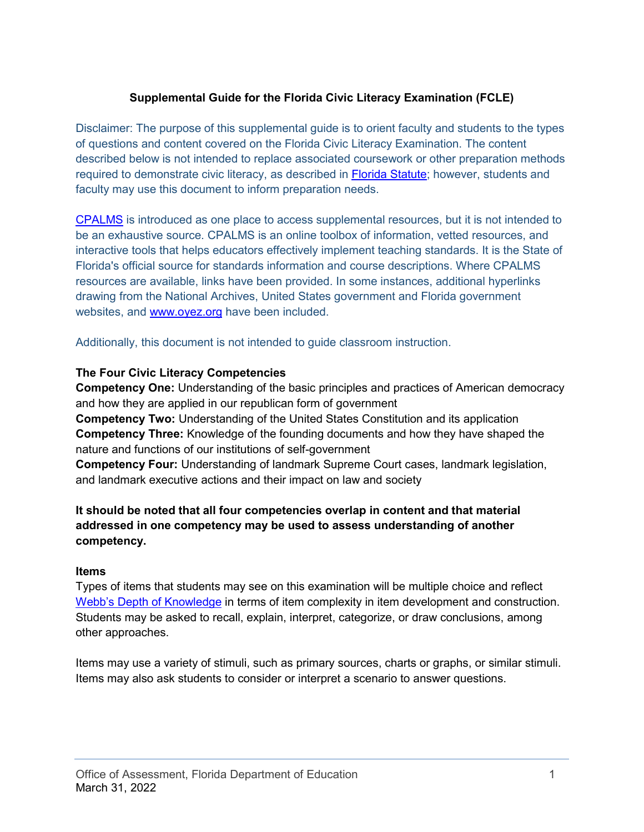## **Supplemental Guide for the Florida Civic Literacy Examination (FCLE)**

Disclaimer: The purpose of this supplemental guide is to orient faculty and students to the types of questions and content covered on the Florida Civic Literacy Examination. The content described below is not intended to replace associated coursework or other preparation methods required to demonstrate civic literacy, as described in [Florida Statute;](http://www.leg.state.fl.us/statutes/index.cfm?App_mode=Display_Statute&Search_String=1003.4282&URL=1000-1099/1003/Sections/1003.4282.html) however, students and faculty may use this document to inform preparation needs.

[CPALMS](https://www.cpalms.org/) is introduced as one place to access supplemental resources, but it is not intended to be an exhaustive source. CPALMS is an online toolbox of information, vetted resources, and interactive tools that helps educators effectively implement teaching standards. It is the State of Florida's official source for standards information and course descriptions. Where CPALMS resources are available, links have been provided. In some instances, additional hyperlinks drawing from the National Archives, United States government and Florida government websites, and [www.oyez.org](http://www.oyez.org/) have been included.

Additionally, this document is not intended to guide classroom instruction.

#### **The Four Civic Literacy Competencies**

**Competency One:** Understanding of the basic principles and practices of American democracy and how they are applied in our republican form of government **Competency Two:** Understanding of the United States Constitution and its application **Competency Three:** Knowledge of the founding documents and how they have shaped the nature and functions of our institutions of self-government

**Competency Four:** Understanding of landmark Supreme Court cases, landmark legislation, and landmark executive actions and their impact on law and society

#### **It should be noted that all four competencies overlap in content and that material addressed in one competency may be used to assess understanding of another competency.**

#### **Items**

Types of items that students may see on this examination will be multiple choice and reflect [Webb's Depth of Knowledge](https://www.cpalms.org/standards/dok.aspx) in terms of item complexity in item development and construction. Students may be asked to recall, explain, interpret, categorize, or draw conclusions, among other approaches.

Items may use a variety of stimuli, such as primary sources, charts or graphs, or similar stimuli. Items may also ask students to consider or interpret a scenario to answer questions.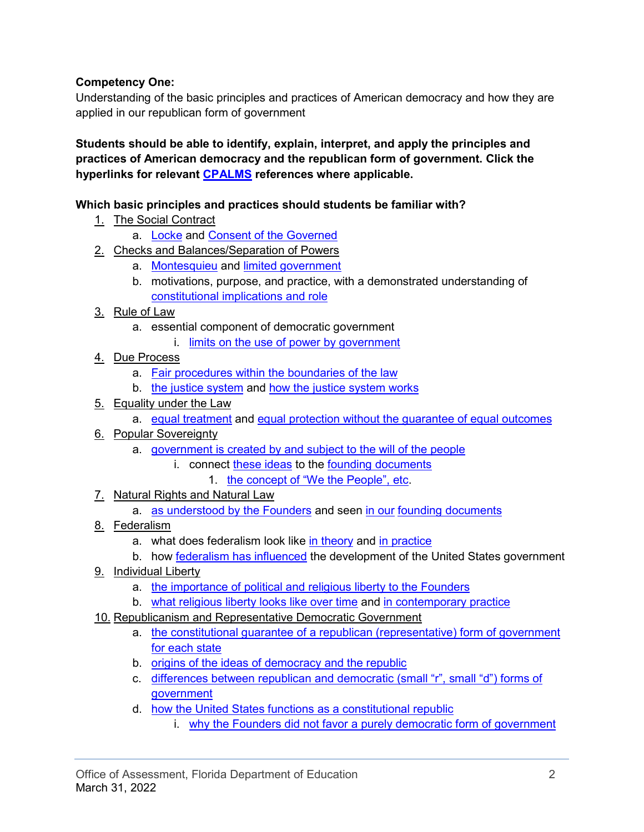## **Competency One:**

Understanding of the basic principles and practices of American democracy and how they are applied in our republican form of government

**Students should be able to identify, explain, interpret, and apply the principles and practices of American democracy and the republican form of government. Click the hyperlinks for relevant [CPALMS](https://www.cpalms.org/) references where applicable.** 

## **Which basic principles and practices should students be familiar with?**

- 1. The Social Contract
	- a. [Locke](https://www.cpalms.org/PreviewStandard/Preview/16091) and [Consent of the Governed](https://www.cpalms.org/PreviewStandard/Preview/16138)
- 2. Checks and Balances/Separation of Powers
	- a. [Montesquieu](https://www.cpalms.org/PreviewStandard/Preview/16091) and [limited government](https://www.cpalms.org/PreviewStandard/Preview/16096)
	- b. motivations, purpose, and practice, with a demonstrated understanding of [constitutional implications and role](https://www.cpalms.org/PreviewStandard/Preview/16141)
- 3. Rule of Law
	- a. essential component of democratic government
		- i. [limits on the use of power by government](https://www.cpalms.org/PreviewStandard/Preview/3539)
- 4. Due Process
	- a. [Fair procedures within the boundaries of the law](https://www.cpalms.org/PreviewStandard/Preview/16141)
	- b. [the justice system](https://www.cpalms.org/PreviewStandard/Preview/16161) and [how the justice system works](https://www.cpalms.org/PreviewStandard/Preview/16162)
- 5. Equality under the Law
	- a. [equal treatment](https://www.cpalms.org/PreviewStandard/Preview/16165) and [equal protection without the guarantee of equal outcomes](https://www.cpalms.org/PreviewStandard/Preview/16156)
- 6. Popular Sovereignty
	- a. [government is created by and subject to the will of the people](https://www.cpalms.org/PreviewStandard/Preview/16138)
		- i. connect [these ideas](https://www.cpalms.org/PreviewStandard/Preview/16137) to the [founding documents](https://www.cpalms.org/PreviewStandard/Preview/16140)
			- 1. [the concept of "We the People", etc.](https://www.cpalms.org/PreviewStandard/Preview/16147)
- 7. Natural Rights and Natural Law
	- a. [as understood by the Founders](https://www.cpalms.org/PreviewStandard/Preview/16138) and seen [in our](https://www.cpalms.org/PreviewStandard/Preview/16137) [founding documents](https://www.cpalms.org/PreviewStandard/Preview/16140)
- 8. Federalism
	- a. what does federalism look like [in theory](https://www.cpalms.org/PreviewStandard/Preview/16166) and in practice
	- b. how [federalism has influenced](https://www.cpalms.org/PreviewStandard/Preview/16166) the development of the United States government
- 9. Individual Liberty
	- a. [the importance of political and religious liberty to the Founders](https://www.cpalms.org/PreviewStandard/Preview/16137)
	- b. [what religious liberty looks like over time](https://www.cpalms.org/PreviewStandard/Preview/16140) and [in contemporary practice](https://www.cpalms.org/PreviewStandard/Preview/16170)
- 10. Republicanism and Representative Democratic Government
	- a. [the constitutional guarantee of a republican \(representative\) form of government](https://www.cpalms.org/PreviewStandard/Preview/16141)  [for each state](https://www.cpalms.org/PreviewStandard/Preview/16141)
	- b. [origins of the ideas of democracy and the republic](https://www.cpalms.org/PreviewStandard/Preview/16088)
	- c. [differences between republican and democratic \(small "r", small "d"\) forms of](https://www.cpalms.org/PreviewStandard/Preview/16141)  [government](https://www.cpalms.org/PreviewStandard/Preview/16141)
	- d. [how the United States functions as a constitutional republic](https://www.cpalms.org/PreviewStandard/Preview/16109) 
		- i. [why the Founders did not favor a purely democratic form of government](https://www.cpalms.org/PreviewStandard/Preview/16140)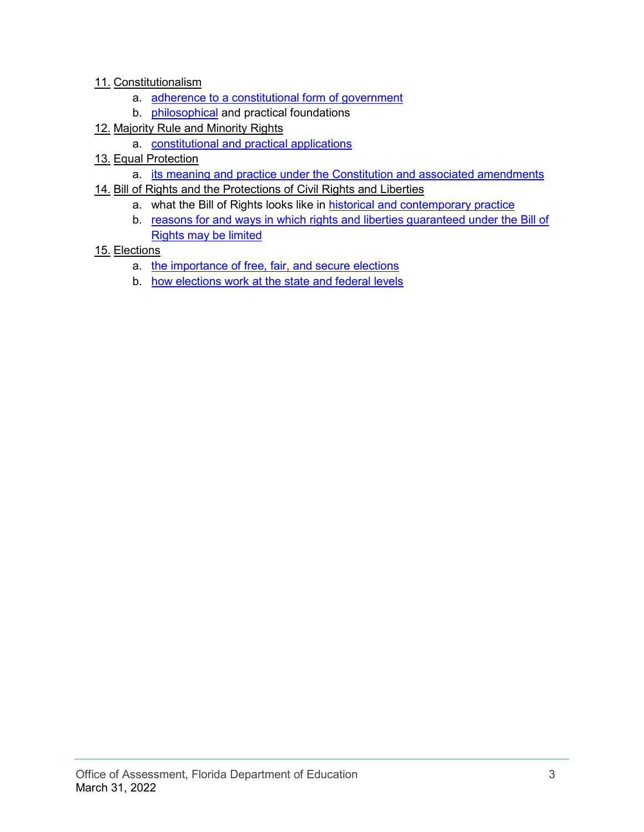#### 11. Constitutionalism

- a. [adherence to a constitutional form of government](https://www.cpalms.org/PreviewStandard/Preview/16141)
- b. [philosophical](https://www.cpalms.org/PreviewStandard/Preview/16137) and practical foundations
- 12. Majority Rule and Minority Rights
	- a. [constitutional and practical applications](https://www.cpalms.org/PreviewStandard/Preview/16141)
- 13. Equal Protection
	- a. its [meaning and practice under the Constitution and associated amendments](https://www.cpalms.org/PreviewStandard/Preview/16141)
- 14. Bill of Rights and the Protections of Civil Rights and Liberties
	- a. what the Bill of Rights looks like in **historical and contemporary practice**
	- b. reasons for and ways in which rights and liberties guaranteed under the Bill of [Rights may be limited](https://www.cpalms.org/PreviewStandard/Preview/16146)

#### 15. Elections

- a. [the importance of free, fair, and secure elections](https://www.cpalms.org/PreviewStandard/Preview/16151)
- b. [how elections work at the state and federal levels](https://www.cpalms.org/PreviewStandard/Preview/16150)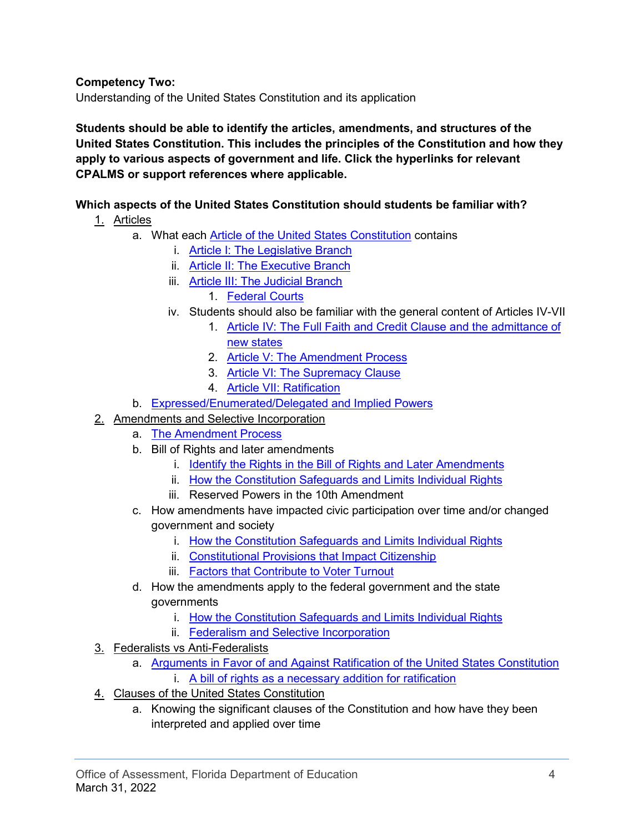**Competency Two:**

Understanding of the United States Constitution and its application

**Students should be able to identify the articles, amendments, and structures of the United States Constitution. This includes the principles of the Constitution and how they apply to various aspects of government and life. Click the hyperlinks for relevant CPALMS or support references where applicable.** 

## **Which aspects of the United States Constitution should students be familiar with?**

- 1. Articles
	- a. What each [Article of the United States Constitution](https://constitutioncenter.org/interactive-constitution) contains
		- i. [Article I: The Legislative Branch](https://www.cpalms.org/PreviewStandard/Preview/16157)
		- ii. [Article II: The Executive Branch](https://www.cpalms.org/PreviewStandard/Preview/16158)
		- iii. Article III: [The Judicial Branch](https://www.cpalms.org/PreviewStandard/Preview/16161)
			- 1. [Federal Courts](https://www.cpalms.org/PreviewStandard/Preview/16164)
		- iv. Students should also be familiar with the general content of Articles IV-VII
			- 1. [Article IV: The Full Faith and Credit Clause and the admittance of](https://constitutioncenter.org/interactive-constitution/article/article-iv)  [new states](https://constitutioncenter.org/interactive-constitution/article/article-iv)
			- 2. [Article V: The Amendment Process](https://constitutioncenter.org/interactive-constitution/article/article-v)
			- 3. [Article VI: The Supremacy Clause](https://constitutioncenter.org/interactive-constitution/article/article-vi)
			- 4. [Article VII: Ratification](https://constitutioncenter.org/interactive-constitution/article/article-vii)
	- b. [Expressed/Enumerated/Delegated](https://www.cpalms.org/PreviewStandard/Preview/16160) and Implied Powers
- 2. Amendments and Selective Incorporation
	- a. [The Amendment Process](https://www.cpalms.org/PreviewStandard/Preview/16113)
	- b. Bill of Rights and later amendments
		- i. [Identify the Rights in the Bill of Rights and Later Amendments](https://www.cpalms.org/PreviewStandard/Preview/16156)
		- ii. [How the Constitution Safeguards and Limits Individual Rights](https://www.cpalms.org/PreviewStandard/Preview/16156)
		- iii. Reserved Powers in the 10th Amendment
	- c. How amendments have impacted civic participation over time and/or changed government and society
		- i. [How the Constitution Safeguards and Limits Individual Rights](https://www.cpalms.org/PreviewStandard/Preview/16156)
		- ii. [Constitutional Provisions that Impact Citizenship](https://www.cpalms.org/PreviewStandard/Preview/16142)
		- iii. [Factors that Contribute to Voter Turnout](https://www.cpalms.org/PreviewStandard/Preview/16151)
	- d. How the amendments apply to the federal government and the state governments
		- i. [How the Constitution Safeguards and Limits Individual Rights](https://www.cpalms.org/PreviewStandard/Preview/16156)
		- ii. [Federalism and Selective Incorporation](https://www.cpalms.org/PreviewStandard/Preview/16166)
- 3. Federalists vs Anti-Federalists
	- a. [Arguments in Favor of and Against Ratification of the United States Constitution](https://www.cpalms.org/PreviewStandard/Preview/16139)
		- i. [A bill of rights as a necessary addition for ratification](https://csac.history.wisc.edu/document-collections/constitutional-debates/bill-of-rights/#:%7E:text=Antifederalists%20argued%20that%20a%20bill,bill%20of%20rights%20was%20needed.)
- 4. Clauses of the United States Constitution
	- a. Knowing the significant clauses of the Constitution and how have they been interpreted and applied over time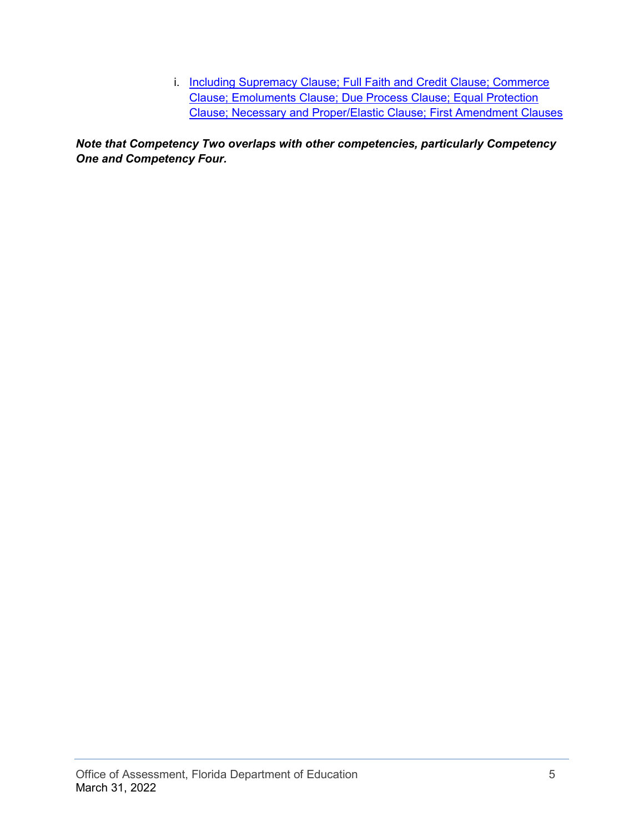i. Including Supremacy Clause; Full Faith and Credit Clause; Commerce [Clause; Emoluments Clause; Due Process Clause; Equal Protection](https://www.law.cornell.edu/wex/constitutional_clauses)  [Clause; Necessary and Proper/Elastic Clause; First Amendment Clauses](https://www.law.cornell.edu/wex/constitutional_clauses)

*Note that Competency Two overlaps with other competencies, particularly Competency One and Competency Four.*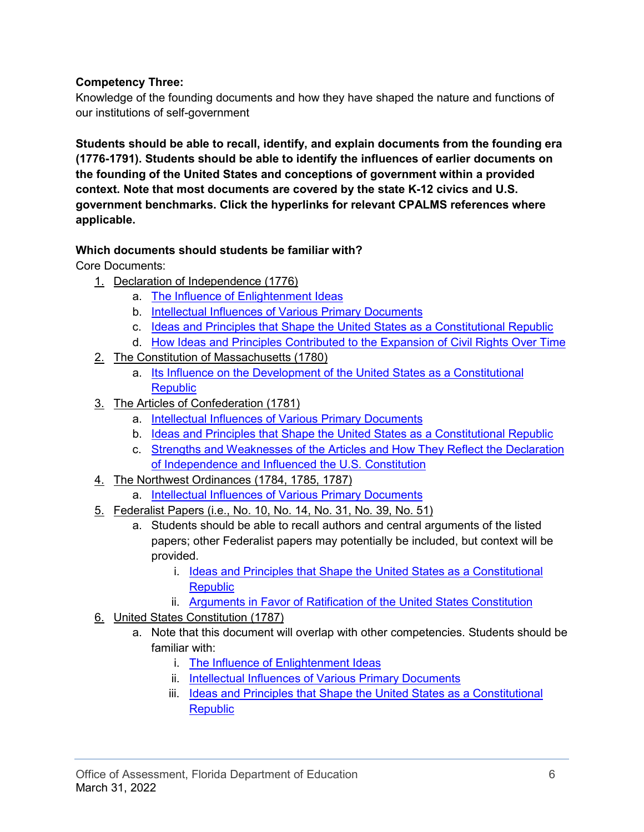## **Competency Three:**

Knowledge of the founding documents and how they have shaped the nature and functions of our institutions of self-government

**Students should be able to recall, identify, and explain documents from the founding era (1776-1791). Students should be able to identify the influences of earlier documents on the founding of the United States and conceptions of government within a provided context. Note that most documents are covered by the state K-12 civics and U.S. government benchmarks. Click the hyperlinks for relevant CPALMS references where applicable.** 

#### **Which documents should students be familiar with?**

Core Documents:

- 1. Declaration of Independence (1776)
	- a. [The Influence of Enlightenment Ideas](https://www.cpalms.org/PreviewStandard/Preview/16138)
	- b. [Intellectual Influences of Various Primary Documents](https://www.cpalms.org/PreviewStandard/Preview/16137)
	- c. [Ideas and Principles that Shape the United States as a Constitutional Republic](https://www.cpalms.org/PreviewStandard/Preview/16140)
	- d. [How Ideas and Principles Contributed to the Expansion of Civil Rights Over Time](https://www.cpalms.org/PreviewStandard/Preview/16147)
- 2. The Constitution of Massachusetts (1780)
	- a. [Its Influence on the Development of the United States as a Constitutional](https://www.cpalms.org/PreviewStandard/Preview/16137)  **Republic**
- 3. The Articles of Confederation (1781)
	- a. [Intellectual Influences of Various Primary Documents](https://www.cpalms.org/PreviewStandard/Preview/16137)
	- b. [Ideas and Principles that Shape the United States as a Constitutional Republic](https://www.cpalms.org/PreviewStandard/Preview/16140)
	- c. [Strengths and Weaknesses of the Articles](https://www.cpalms.org/PreviewStandard/Preview/16094) and How They Reflect the Declaration [of Independence and Influenced the U.S. Constitution](https://www.cpalms.org/PreviewStandard/Preview/16094)
- 4. The Northwest Ordinances (1784, 1785, 1787)
	- a. [Intellectual Influences of Various Primary Documents](https://www.cpalms.org/PreviewStandard/Preview/16137)
- 5. Federalist Papers (i.e., No. 10, No. 14, No. 31, No. 39, No. 51)
	- a. Students should be able to recall authors and central arguments of the listed papers; other Federalist papers may potentially be included, but context will be provided.
		- i. [Ideas and Principles that Shape the United States as a Constitutional](https://www.cpalms.org/PreviewStandard/Preview/16140)  **[Republic](https://www.cpalms.org/PreviewStandard/Preview/16140)**
		- ii. [Arguments in Favor of Ratification of the United States Constitution](https://www.cpalms.org/PreviewStandard/Preview/16139)
- 6. United States Constitution (1787)
	- a. Note that this document will overlap with other competencies. Students should be familiar with:
		- i. [The Influence of Enlightenment Ideas](https://www.cpalms.org/PreviewStandard/Preview/16138)
		- ii. [Intellectual Influences of Various Primary Documents](https://www.cpalms.org/PreviewStandard/Preview/16137)
		- iii. [Ideas and Principles that Shape the United States as a Constitutional](https://www.cpalms.org/PreviewStandard/Preview/16140)  **[Republic](https://www.cpalms.org/PreviewStandard/Preview/16140)**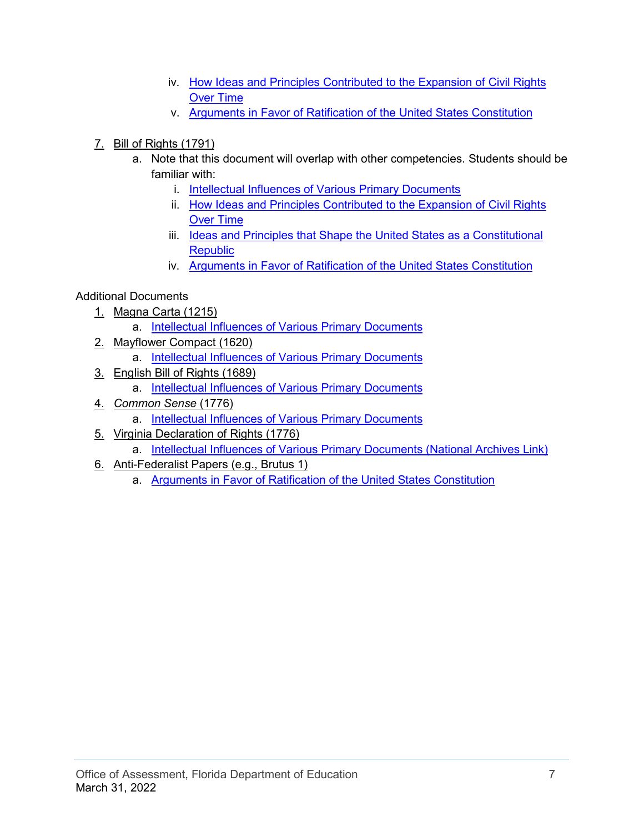- iv. [How Ideas and Principles Contributed to the Expansion of Civil Rights](https://www.cpalms.org/PreviewStandard/Preview/16147)  [Over Time](https://www.cpalms.org/PreviewStandard/Preview/16147)
- v. [Arguments in Favor of Ratification of the United States Constitution](https://www.cpalms.org/PreviewStandard/Preview/16139)
- 7. Bill of Rights (1791)
	- a. Note that this document will overlap with other competencies. Students should be familiar with:
		- i. [Intellectual Influences of Various Primary Documents](https://www.cpalms.org/PreviewStandard/Preview/16137)
		- ii. [How Ideas and Principles Contributed to the Expansion of Civil Rights](https://www.cpalms.org/PreviewStandard/Preview/16147)  [Over Time](https://www.cpalms.org/PreviewStandard/Preview/16147)
		- iii. Ideas and Principles that Shape the United States as a Constitutional **[Republic](https://www.cpalms.org/PreviewStandard/Preview/16140)**
		- iv. [Arguments in Favor of Ratification of the United States Constitution](https://www.cpalms.org/PreviewStandard/Preview/16139)

#### Additional Documents

- 1. Magna Carta (1215)
	- a. [Intellectual Influences of Various Primary Documents](https://www.cpalms.org/PreviewStandard/Preview/16137)
- 2. Mayflower Compact (1620)
	- a. [Intellectual Influences of Various Primary Documents](https://www.cpalms.org/PreviewStandard/Preview/16137)
- 3. English Bill of Rights (1689)
	- a. [Intellectual Influences of Various Primary Documents](https://www.cpalms.org/PreviewStandard/Preview/16137)
- 4. *Common Sense* (1776)
	- a. [Intellectual Influences of Various Primary Documents](https://www.cpalms.org/PreviewStandard/Preview/16137)
- 5. Virginia Declaration of Rights (1776)
	- a. [Intellectual Influences of Various Primary Documents \(National Archives Link\)](https://www.archives.gov/founding-docs/virginia-declaration-of-rights)
- 6. Anti-Federalist Papers (e.g., Brutus 1)
	- a. [Arguments in Favor of Ratification of the United States Constitution](https://www.cpalms.org/PreviewStandard/Preview/16139)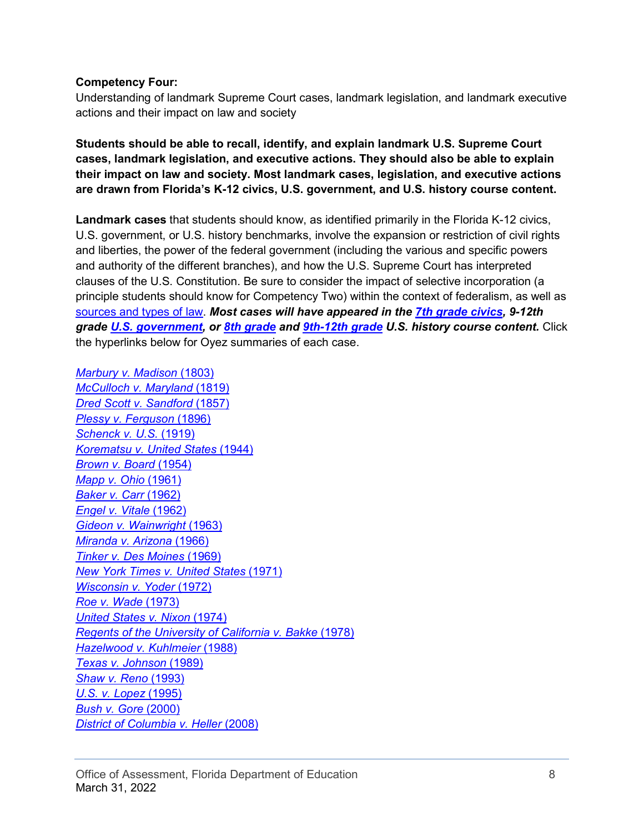#### **Competency Four:**

Understanding of landmark Supreme Court cases, landmark legislation, and landmark executive actions and their impact on law and society

**Students should be able to recall, identify, and explain landmark U.S. Supreme Court cases, landmark legislation, and executive actions. They should also be able to explain their impact on law and society. Most landmark cases, legislation, and executive actions are drawn from Florida's K-12 civics, U.S. government, and U.S. history course content.** 

**Landmark cases** that students should know, as identified primarily in the Florida K-12 civics, U.S. government, or U.S. history benchmarks, involve the expansion or restriction of civil rights and liberties, the power of the federal government (including the various and specific powers and authority of the different branches), and how the U.S. Supreme Court has interpreted clauses of the U.S. Constitution. Be sure to consider the impact of selective incorporation (a principle students should know for Competency Two) within the context of federalism, as well as [sources and types of law.](https://www.cpalms.org/PreviewStandard/Preview/16118) *Most cases will have appeared in the 7th grade [civics,](https://www.cpalms.org/PreviewStandard/Preview/16119) 9-12th grade [U.S. government,](https://www.cpalms.org/PreviewStandard/Preview/16165) or 8th [grade](https://www.cpalms.org/PreviewStandard/Preview/3289) and [9th-12th](https://www.cpalms.org/PreviewStandard/Preview/3424) grade U.S. history course content.* Click the hyperlinks below for Oyez summaries of each case.

*[Marbury v. Madison](https://www.oyez.org/cases/1789-1850/5us137)* (1803) *[McCulloch v. Maryland](https://www.oyez.org/cases/1789-1850/17us316)* (1819) *[Dred Scott v. Sandford](https://www.oyez.org/cases/1850-1900/60us393)* (1857) *[Plessy v. Ferguson](https://www.oyez.org/cases/1850-1900/163us537)* (1896) *[Schenck v. U.S.](https://www.oyez.org/cases/1900-1940/249us47)* (1919) *[Korematsu v. United States](https://www.oyez.org/cases/1940-1955/323us214)* (1944) *[Brown v. Board](https://www.oyez.org/cases/1940-1955/347us483)* (1954) *[Mapp v. Ohio](https://www.oyez.org/cases/1960/236)* (1961) *[Baker v. Carr](https://www.oyez.org/cases/1960/6)* (1962) *[Engel v. Vitale](https://www.oyez.org/cases/1961/468)* (1962) *[Gideon v. Wainwright](https://www.oyez.org/cases/1962/155)* (1963) *[Miranda v. Arizona](https://www.oyez.org/cases/1965/759)* (1966) *[Tinker v. Des Moines](https://www.oyez.org/cases/1968/21)* (1969) *[New York Times v. United States](https://www.oyez.org/cases/1970/1873)* (1971) *[Wisconsin v. Yoder](https://www.oyez.org/cases/1971/70-110)* (1972) *[Roe v. Wade](https://www.oyez.org/cases/1971/70-18)* (1973) *[United States](https://www.oyez.org/cases/1973/73-1766) v. Nixon* (1974) *[Regents of the University of California v. Bakke](https://www.oyez.org/cases/1979/76-811)* (1978) *[Hazelwood v. Kuhlmeier](https://www.oyez.org/cases/1987/86-836)* (1988) *[Texas v. Johnson](https://www.oyez.org/cases/1988/88-155)* (1989) *[Shaw v. Reno](https://www.oyez.org/cases/1992/92-357)* (1993) *[U.S. v. Lopez](https://www.oyez.org/cases/1994/93-1260)* (1995) *[Bush v. Gore](https://www.oyez.org/cases/2000/00-949)* (2000) *[District of Columbia v. Heller](https://www.oyez.org/cases/2007/07-290)* (2008)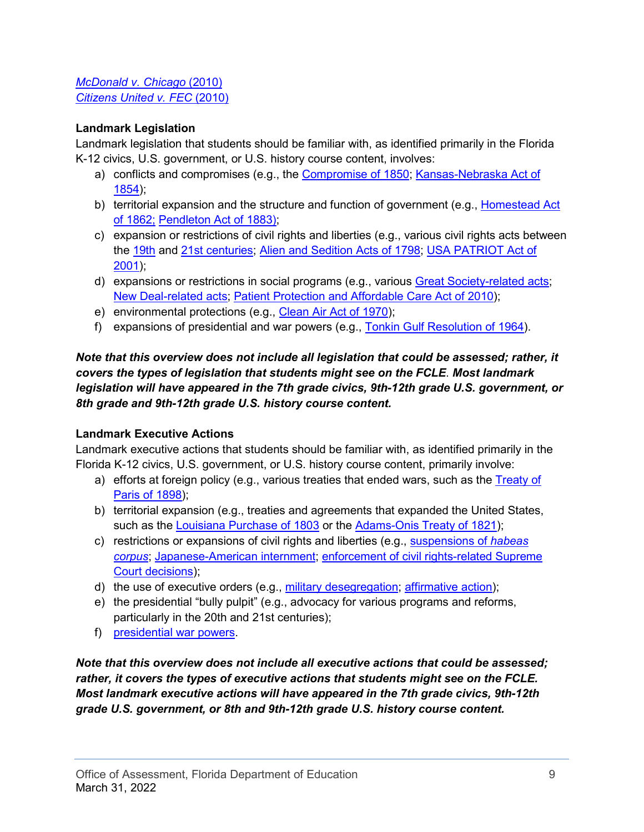#### *[McDonald v. Chicago](https://www.oyez.org/cases/2009/08-1521)* (2010) *[Citizens United v. FEC](https://www.oyez.org/cases/2008/08-205)* (2010)

## **Landmark Legislation**

Landmark legislation that students should be familiar with, as identified primarily in the Florida K-12 civics, U.S. government, or U.S. history course content, involves:

- a) conflicts and compromises (e.g., the [Compromise of 1850;](https://guides.loc.gov/compromise-1850) [Kansas-Nebraska Act of](https://www.senate.gov/artandhistory/history/minute/Kansas_Nebraska_Act.htm#:%7E:text=It%20became%20law%20on%20May,territories%20to%20sway%20the%20vote.)  [1854\)](https://www.senate.gov/artandhistory/history/minute/Kansas_Nebraska_Act.htm#:%7E:text=It%20became%20law%20on%20May,territories%20to%20sway%20the%20vote.);
- b) territorial expansion and the structure and function of government (e.g., Homestead Act [of 1862;](https://www.archives.gov/milestone-documents/homestead-act) [Pendleton Act of 1883\);](https://www.archives.gov/milestone-documents/pendleton-act)
- c) expansion or restrictions of civil rights and liberties (e.g., various civil rights acts between the [19th](https://history.house.gov/Historical-Highlights/1851-1900/The-Civil-Rights-Bill-of-1866/) and [21st centuries;](https://www.ourdocuments.gov/doc.php?flash=false&doc=97) [Alien and Sedition Acts of 1798;](https://www.ourdocuments.gov/doc.php?flash=false&doc=16) [USA PATRIOT Act of](https://www.congress.gov/107/plaws/publ56/PLAW-107publ56.pdf)  [2001\)](https://www.congress.gov/107/plaws/publ56/PLAW-107publ56.pdf);
- d) expansions or restrictions in social programs (e.g., various [Great Society-related acts;](https://www.gilderlehrman.org/history-resources/teaching-resource/study-aid-great-society-legislation) [New Deal-related acts;](https://www.loc.gov/rr/program/bib/newdeal/intro.html) [Patient Protection and Affordable Care Act of 2010\)](https://www.govinfo.gov/content/pkg/BILLS-111hr3590enr/pdf/BILLS-111hr3590enr.pdf);
- e) environmental protections (e.g., [Clean Air Act of 1970\)](https://crsreports.congress.gov/product/pdf/RL/RL30853);
- f) expansions of presidential and war powers (e.g., [Tonkin Gulf Resolution of 1964\)](https://www.ourdocuments.gov/doc.php?flash=false&doc=98).

## *Note that this overview does not include all legislation that could be assessed; rather, it covers the types of legislation that students might see on the FCLE*. *Most landmark legislation will have appeared in the 7th grade civics, 9th-12th grade U.S. government, or 8th grade and 9th-12th grade U.S. history course content.*

#### **Landmark Executive Actions**

Landmark executive actions that students should be familiar with, as identified primarily in the Florida K-12 civics, U.S. government, or U.S. history course content, primarily involve:

- a) efforts at foreign policy (e.g., various treaties that ended wars, such as the Treaty of [Paris of 1898\)](https://www.loc.gov/rr/hispanic/1898/treaty.html);
- b) territorial expansion (e.g., treaties and agreements that expanded the United States, such as the [Louisiana Purchase of 1803](https://history.state.gov/milestones/1801-1829/louisiana-purchase) or the [Adams-Onis Treaty of 1821\)](https://history.state.gov/milestones/1801-1829/florida);
- c) restrictions or expansions of civil rights and liberties (e.g., [suspensions of](https://www.gilderlehrman.org/history-resources/spotlight-primary-source/proclamation-suspension-habeas-corpus-1862) *habeas [corpus](https://www.gilderlehrman.org/history-resources/spotlight-primary-source/proclamation-suspension-habeas-corpus-1862)*; [Japanese-American](https://www.ourdocuments.gov/doc.php?flash=false&doc=74) internment; [enforcement of civil rights-related Supreme](https://www.eisenhowerlibrary.gov/research/online-documents/civil-rights-little-rock-school-integration-crisis)  [Court decisions\)](https://www.eisenhowerlibrary.gov/research/online-documents/civil-rights-little-rock-school-integration-crisis);
- d) the use of executive orders (e.g., [military desegregation;](https://www.ourdocuments.gov/doc.php?flash=false&doc=84) [affirmative action\)](https://www.dol.gov/agencies/ofccp/about/executive-order-11246-history);
- e) the presidential "bully pulpit" (e.g., advocacy for various programs and reforms, particularly in the 20th and 21st centuries);
- f) [presidential war powers.](https://www.nixonlibrary.gov/news/war-powers-resolution-1973#:%7E:text=The%20War%20Powers%20Resolution%20of,the%20executive%20branch)

*Note that this overview does not include all executive actions that could be assessed; rather, it covers the types of executive actions that students might see on the FCLE. Most landmark executive actions will have appeared in the 7th grade civics, 9th-12th grade U.S. government, or 8th and 9th-12th grade U.S. history course content.*